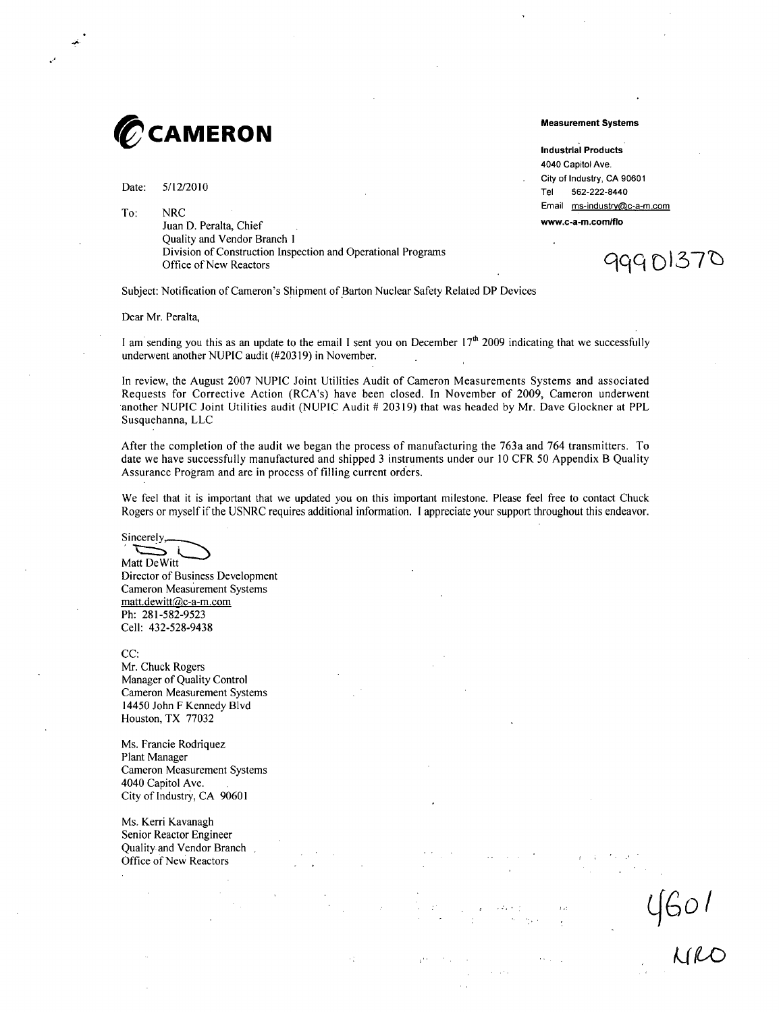## **CAMERON Measurement System**

5/12/2010 Date:

To: NRC

Juan D. Peralta, Chief www.c-a-m.com/flo Quality and Vendor Branch **I** Division of Construction Inspection and Operational Programs Office of New Reactors **Construction** inspection and Operational Programs **qqqq** D1370

**Measurement Systems** 

4040 Capitol Ave. City of Industry, CA 90601 Tel 562-222-8440 Email ms-industry@c-a-m.com

Subject: Notification of Cameron's Shipment of Barton Nuclear Safety Related DP Devices

Dear Mr. Peralta,

I am sending you this as an update to the email I sent you on December  $17<sup>th</sup>$  2009 indicating that we successfully underwent another NUPIC audit (#20319) in November.

In review, the August 2007 NUPIC Joint Utilities Audit of Cameron Measurements Systems and associated Requests for Corrective Action (RCA's) have been closed. In November of 2009, Cameron underwent -another NUPIC Joint Utilities audit (NUPIC Audit # 20319) that was headed by Mr. Dave Glockner at PPL Susquehanna, LLC

After the completion of the audit we began the process of manufacturing the 763a and 764 transmitters. To date we have successfully manufactured and shipped 3 instruments under our 10 CFR 50 Appendix B Quality Assurance Program and are in process of filling current orders.

We feel that it is important that we updated you on this important milestone. Please feel free to contact Chuck Rogers or myself if the USNRC requires additional information. I appreciate your support throughout this endeavor.

Sincerely

Matt DeWitt Director of Business Development Cameron Measurement Systems matt.dewitt@c-a-m.com Ph: 281-582-9523 Cell: 432-528-9438

CC:

Mr. Chuck Rogers Manager of Quality Control Cameron Measurement Systems 14450 John F Kennedy Blvd Houston, TX 77032

Ms. Francie Rodriquez Plant Manager Cameron Measurement Systems 4040 Capitol Ave. City of Industry, CA 90601

Ms. Kerri Kavanagh Senior Reactor Engineer Quality and Vendor Branch Office of New Reactors

 $4601$